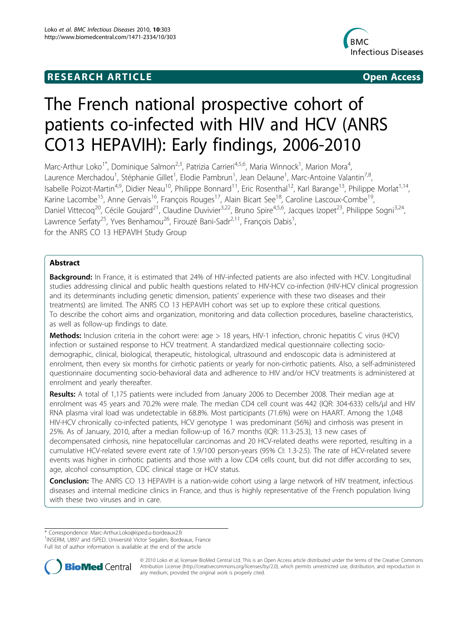## **RESEARCH ARTICLE Example 2018 CONSIDERING ACCESS**



# The French national prospective cohort of patients co-infected with HIV and HCV (ANRS CO13 HEPAVIH): Early findings, 2006-2010

Marc-Arthur Loko<sup>1\*</sup>, Dominique Salmon<sup>2,3</sup>, Patrizia Carrieri<sup>4,5,6</sup>, Maria Winnock<sup>1</sup>, Marion Mora<sup>4</sup> , Laurence Merchadou<sup>1</sup>, Stéphanie Gillet<sup>1</sup>, Elodie Pambrun<sup>1</sup>, Jean Delaune<sup>1</sup>, Marc-Antoine Valantin<sup>7,8</sup>, Isabelle Poizot-Martin<sup>4,9</sup>, Didier Neau<sup>10</sup>, Philippe Bonnard<sup>11</sup>, Eric Rosenthal<sup>12</sup>, Karl Barange<sup>13</sup>, Philippe Morlat<sup>1,14</sup>, Karine Lacombe<sup>15</sup>, Anne Gervais<sup>16</sup>, François Rouges<sup>17</sup>, Alain Bicart See<sup>18</sup>, Caroline Lascoux-Combe<sup>19</sup>, Daniel Vittecoq<sup>20</sup>, Cécile Goujard<sup>21</sup>, Claudine Duvivier<sup>3,22</sup>, Bruno Spire<sup>4,5,6</sup>, Jacques Izopet<sup>23</sup>, Philippe Sogni<sup>3,24</sup>, Lawrence Serfaty<sup>25</sup>, Yves Benhamou<sup>26</sup>, Firouzé Bani-Sadr<sup>2,11</sup>, François Dabis<sup>1</sup>, , for the ANRS CO 13 HEPAVIH Study Group

## Abstract

Background: In France, it is estimated that 24% of HIV-infected patients are also infected with HCV. Longitudinal studies addressing clinical and public health questions related to HIV-HCV co-infection (HIV-HCV clinical progression and its determinants including genetic dimension, patients' experience with these two diseases and their treatments) are limited. The ANRS CO 13 HEPAVIH cohort was set up to explore these critical questions. To describe the cohort aims and organization, monitoring and data collection procedures, baseline characteristics, as well as follow-up findings to date.

Methods: Inclusion criteria in the cohort were: age > 18 years, HIV-1 infection, chronic hepatitis C virus (HCV) infection or sustained response to HCV treatment. A standardized medical questionnaire collecting sociodemographic, clinical, biological, therapeutic, histological, ultrasound and endoscopic data is administered at enrolment, then every six months for cirrhotic patients or yearly for non-cirrhotic patients. Also, a self-administered questionnaire documenting socio-behavioral data and adherence to HIV and/or HCV treatments is administered at enrolment and yearly thereafter.

Results: A total of 1,175 patients were included from January 2006 to December 2008. Their median age at enrolment was 45 years and 70.2% were male. The median CD4 cell count was 442 (IQR: 304-633) cells/µl and HIV RNA plasma viral load was undetectable in 68.8%. Most participants (71.6%) were on HAART. Among the 1,048 HIV-HCV chronically co-infected patients, HCV genotype 1 was predominant (56%) and cirrhosis was present in 25%. As of January, 2010, after a median follow-up of 16.7 months (IQR: 11.3-25.3), 13 new cases of decompensated cirrhosis, nine hepatocellular carcinomas and 20 HCV-related deaths were reported, resulting in a cumulative HCV-related severe event rate of 1.9/100 person-years (95% CI: 1.3-2.5). The rate of HCV-related severe events was higher in cirrhotic patients and those with a low CD4 cells count, but did not differ according to sex, age, alcohol consumption, CDC clinical stage or HCV status.

Conclusion: The ANRS CO 13 HEPAVIH is a nation-wide cohort using a large network of HIV treatment, infectious diseases and internal medicine clinics in France, and thus is highly representative of the French population living with these two viruses and in care.

Full list of author information is available at the end of the article



© 2010 Loko et al; licensee BioMed Central Ltd. This is an Open Access article distributed under the terms of the Creative Commons Attribution License [\(http://creativecommons.org/licenses/by/2.0](http://creativecommons.org/licenses/by/2.0)), which permits unrestricted use, distribution, and reproduction in any medium, provided the original work is properly cited.

<sup>\*</sup> Correspondence: [Marc-Arthur.Loko@isped.u-bordeaux2.fr](mailto:Marc-Arthur.Loko@isped.u-bordeaux2.fr)

<sup>&</sup>lt;sup>1</sup>INSERM, U897 and ISPED, Université Victor Segalen, Bordeaux, France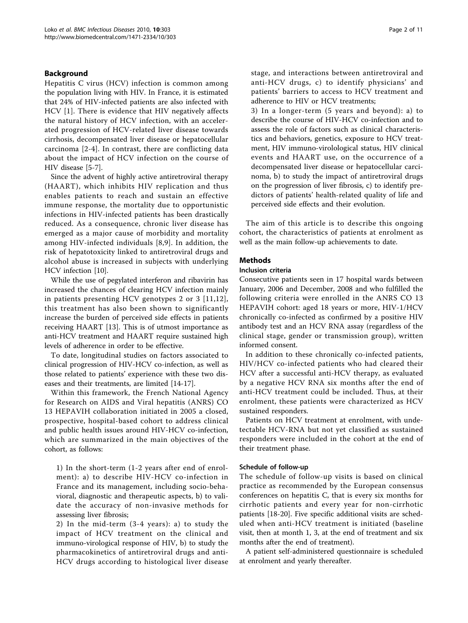## Background

Hepatitis C virus (HCV) infection is common among the population living with HIV. In France, it is estimated that 24% of HIV-infected patients are also infected with HCV [[1\]](#page-10-0). There is evidence that HIV negatively affects the natural history of HCV infection, with an accelerated progression of HCV-related liver disease towards cirrhosis, decompensated liver disease or hepatocellular carcinoma [\[2](#page-10-0)-[4](#page-10-0)]. In contrast, there are conflicting data about the impact of HCV infection on the course of HIV disease [\[5](#page-10-0)-[7\]](#page-10-0).

Since the advent of highly active antiretroviral therapy (HAART), which inhibits HIV replication and thus enables patients to reach and sustain an effective immune response, the mortality due to opportunistic infections in HIV-infected patients has been drastically reduced. As a consequence, chronic liver disease has emerged as a major cause of morbidity and mortality among HIV-infected individuals [[8,9](#page-10-0)]. In addition, the risk of hepatotoxicity linked to antiretroviral drugs and alcohol abuse is increased in subjects with underlying HCV infection [[10\]](#page-10-0).

While the use of pegylated interferon and ribavirin has increased the chances of clearing HCV infection mainly in patients presenting HCV genotypes 2 or 3 [[11](#page-10-0),[12\]](#page-10-0), this treatment has also been shown to significantly increase the burden of perceived side effects in patients receiving HAART [[13\]](#page-10-0). This is of utmost importance as anti-HCV treatment and HAART require sustained high levels of adherence in order to be effective.

To date, longitudinal studies on factors associated to clinical progression of HIV-HCV co-infection, as well as those related to patients' experience with these two diseases and their treatments, are limited [[14](#page-10-0)-[17\]](#page-10-0).

Within this framework, the French National Agency for Research on AIDS and Viral hepatitis (ANRS) CO 13 HEPAVIH collaboration initiated in 2005 a closed, prospective, hospital-based cohort to address clinical and public health issues around HIV-HCV co-infection, which are summarized in the main objectives of the cohort, as follows:

1) In the short-term (1-2 years after end of enrolment): a) to describe HIV-HCV co-infection in France and its management, including socio-behavioral, diagnostic and therapeutic aspects, b) to validate the accuracy of non-invasive methods for assessing liver fibrosis;

2) In the mid-term (3-4 years): a) to study the impact of HCV treatment on the clinical and immuno-virological response of HIV, b) to study the pharmacokinetics of antiretroviral drugs and anti-HCV drugs according to histological liver disease stage, and interactions between antiretroviral and anti-HCV drugs, c) to identify physicians' and patients' barriers to access to HCV treatment and adherence to HIV or HCV treatments;

3) In a longer-term (5 years and beyond): a) to describe the course of HIV-HCV co-infection and to assess the role of factors such as clinical characteristics and behaviors, genetics, exposure to HCV treatment, HIV immuno-virolological status, HIV clinical events and HAART use, on the occurrence of a decompensated liver disease or hepatocellular carcinoma, b) to study the impact of antiretroviral drugs on the progression of liver fibrosis, c) to identify predictors of patients' health-related quality of life and perceived side effects and their evolution.

The aim of this article is to describe this ongoing cohort, the characteristics of patients at enrolment as well as the main follow-up achievements to date.

## Methods

#### Inclusion criteria

Consecutive patients seen in 17 hospital wards between January, 2006 and December, 2008 and who fulfilled the following criteria were enrolled in the ANRS CO 13 HEPAVIH cohort: aged 18 years or more, HIV-1/HCV chronically co-infected as confirmed by a positive HIV antibody test and an HCV RNA assay (regardless of the clinical stage, gender or transmission group), written informed consent.

In addition to these chronically co-infected patients, HIV/HCV co-infected patients who had cleared their HCV after a successful anti-HCV therapy, as evaluated by a negative HCV RNA six months after the end of anti-HCV treatment could be included. Thus, at their enrolment, these patients were characterized as HCV sustained responders.

Patients on HCV treatment at enrolment, with undetectable HCV-RNA but not yet classified as sustained responders were included in the cohort at the end of their treatment phase.

## Schedule of follow-up

The schedule of follow-up visits is based on clinical practice as recommended by the European consensus conferences on hepatitis C, that is every six months for cirrhotic patients and every year for non-cirrhotic patients [\[18](#page-10-0)-[20\]](#page-10-0). Five specific additional visits are scheduled when anti-HCV treatment is initiated (baseline visit, then at month 1, 3, at the end of treatment and six months after the end of treatment).

A patient self-administered questionnaire is scheduled at enrolment and yearly thereafter.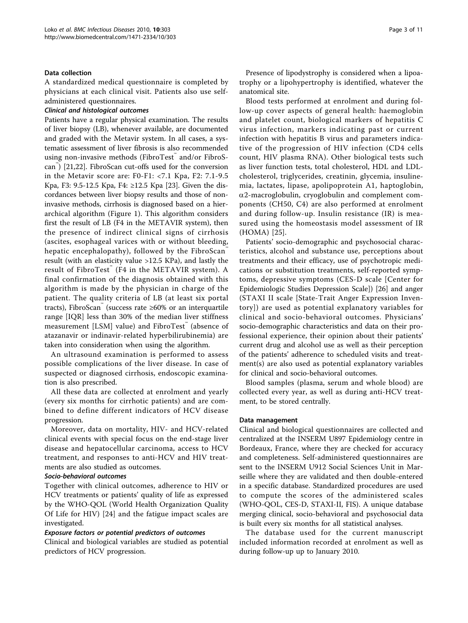#### Data collection

A standardized medical questionnaire is completed by physicians at each clinical visit. Patients also use selfadministered questionnaires.

#### Clinical and histological outcomes

Patients have a regular physical examination. The results of liver biopsy (LB), whenever available, are documented and graded with the Metavir system. In all cases, a systematic assessment of liver fibrosis is also recommended using non-invasive methods (FibroTest™ and/or FibroScan™ ) [[21,22\]](#page-10-0). FibroScan cut-offs used for the conversion in the Metavir score are: F0-F1: <7.1 Kpa, F2: 7.1-9.5 Kpa, F3: 9.5-12.5 Kpa, F4: ≥12.5 Kpa [[23\]](#page-10-0). Given the discordances between liver biopsy results and those of noninvasive methods, cirrhosis is diagnosed based on a hierarchical algorithm (Figure [1\)](#page-3-0). This algorithm considers first the result of LB (F4 in the METAVIR system), then the presence of indirect clinical signs of cirrhosis (ascites, esophageal varices with or without bleeding, hepatic encephalopathy), followed by the FibroScan result (with an elasticity value >12.5 KPa), and lastly the result of FibroTest<sup>™</sup> (F4 in the METAVIR system). A final confirmation of the diagnosis obtained with this algorithm is made by the physician in charge of the patient. The quality criteria of LB (at least six portal tracts), FibroScan (success rate  $\geq 60\%$  or an interquartile range [IQR] less than 30% of the median liver stiffness measurement [LSM] value) and FibroTest (absence of atazanavir or indinavir-related hyperbilirubinemia) are taken into consideration when using the algorithm.

An ultrasound examination is performed to assess possible complications of the liver disease. In case of suspected or diagnosed cirrhosis, endoscopic examination is also prescribed.

All these data are collected at enrolment and yearly (every six months for cirrhotic patients) and are combined to define different indicators of HCV disease progression.

Moreover, data on mortality, HIV- and HCV-related clinical events with special focus on the end-stage liver disease and hepatocellular carcinoma, access to HCV treatment, and responses to anti-HCV and HIV treatments are also studied as outcomes.

#### Socio-behavioral outcomes

Together with clinical outcomes, adherence to HIV or HCV treatments or patients' quality of life as expressed by the WHO-QOL (World Health Organization Quality Of Life for HIV) [[24\]](#page-10-0) and the fatigue impact scales are investigated.

## Exposure factors or potential predictors of outcomes

Clinical and biological variables are studied as potential predictors of HCV progression.

Presence of lipodystrophy is considered when a lipoatrophy or a lipohypertrophy is identified, whatever the anatomical site.

Blood tests performed at enrolment and during follow-up cover aspects of general health: haemoglobin and platelet count, biological markers of hepatitis C virus infection, markers indicating past or current infection with hepatitis B virus and parameters indicative of the progression of HIV infection (CD4 cells count, HIV plasma RNA). Other biological tests such as liver function tests, total cholesterol, HDL and LDLcholesterol, triglycerides, creatinin, glycemia, insulinemia, lactates, lipase, apolipoprotein A1, haptoglobin,  $\alpha$ 2-macroglobulin, cryoglobulin and complement components (CH50, C4) are also performed at enrolment and during follow-up. Insulin resistance (IR) is measured using the homeostasis model assessment of IR (HOMA) [\[25](#page-10-0)].

Patients' socio-demographic and psychosocial characteristics, alcohol and substance use, perceptions about treatments and their efficacy, use of psychotropic medications or substitution treatments, self-reported symptoms, depressive symptoms (CES-D scale [Center for Epidemiologic Studies Depression Scale]) [\[26](#page-10-0)] and anger (STAXI II scale [State-Trait Anger Expression Inventory]) are used as potential explanatory variables for clinical and socio-behavioral outcomes. Physicians' socio-demographic characteristics and data on their professional experience, their opinion about their patients' current drug and alcohol use as well as their perception of the patients' adherence to scheduled visits and treatment(s) are also used as potential explanatory variables for clinical and socio-behavioral outcomes.

Blood samples (plasma, serum and whole blood) are collected every year, as well as during anti-HCV treatment, to be stored centrally.

## Data management

Clinical and biological questionnaires are collected and centralized at the INSERM U897 Epidemiology centre in Bordeaux, France, where they are checked for accuracy and completeness. Self-administered questionnaires are sent to the INSERM U912 Social Sciences Unit in Marseille where they are validated and then double-entered in a specific database. Standardized procedures are used to compute the scores of the administered scales (WHO-QOL, CES-D, STAXI-II, FIS). A unique database merging clinical, socio-behavioral and psychosocial data is built every six months for all statistical analyses.

The database used for the current manuscript included information recorded at enrolment as well as during follow-up up to January 2010.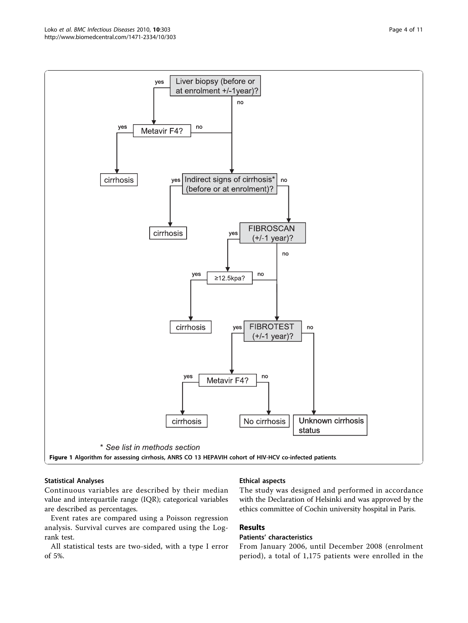<span id="page-3-0"></span>

## Statistical Analyses

Continuous variables are described by their median value and interquartile range (IQR); categorical variables are described as percentages.

Event rates are compared using a Poisson regression analysis. Survival curves are compared using the Logrank test.

All statistical tests are two-sided, with a type I error of 5%.

## Ethical aspects

The study was designed and performed in accordance with the Declaration of Helsinki and was approved by the ethics committee of Cochin university hospital in Paris.

## Results

## Patients' characteristics

From January 2006, until December 2008 (enrolment period), a total of 1,175 patients were enrolled in the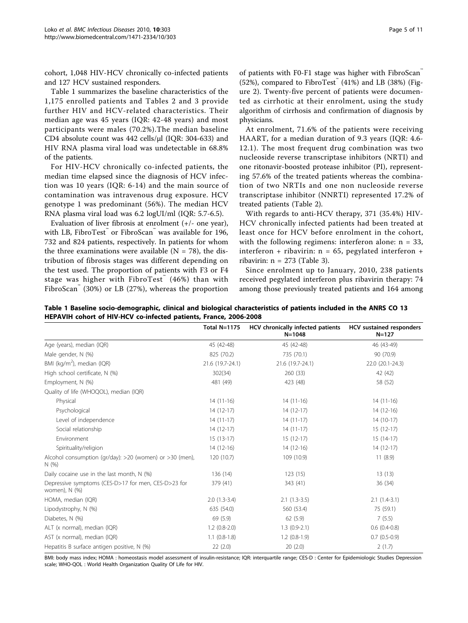cohort, 1,048 HIV-HCV chronically co-infected patients and 127 HCV sustained responders.

Table 1 summarizes the baseline characteristics of the 1,175 enrolled patients and Tables [2](#page-5-0) and [3](#page-5-0) provide further HIV and HCV-related characteristics. Their median age was 45 years (IQR: 42-48 years) and most participants were males (70.2%).The median baseline CD4 absolute count was 442 cells/μl (IQR: 304-633) and HIV RNA plasma viral load was undetectable in 68.8% of the patients.

For HIV-HCV chronically co-infected patients, the median time elapsed since the diagnosis of HCV infection was 10 years (IQR: 6-14) and the main source of contamination was intravenous drug exposure. HCV genotype 1 was predominant (56%). The median HCV RNA plasma viral load was 6.2 logUI/ml (IQR: 5.7-6.5).

Evaluation of liver fibrosis at enrolment  $(+/-$  one year), with LB, FibroTest™ or FibroScan™ was available for 196, 732 and 824 patients, respectively. In patients for whom the three examinations were available  $(N = 78)$ , the distribution of fibrosis stages was different depending on the test used. The proportion of patients with F3 or F4 stage was higher with FibroTest $(46%)$  than with FibroScan $(30\%)$  or LB  $(27\%)$ , whereas the proportion

of patients with F0-F1 stage was higher with FibroScan  $(52%)$ , compared to FibroTest $^{\circ}$  (41%) and LB (38%) (Figure [2](#page-6-0)). Twenty-five percent of patients were documented as cirrhotic at their enrolment, using the study algorithm of cirrhosis and confirmation of diagnosis by physicians.

At enrolment, 71.6% of the patients were receiving HAART, for a median duration of 9.3 years (IQR: 4.6- 12.1). The most frequent drug combination was two nucleoside reverse transcriptase inhibitors (NRTI) and one ritonavir-boosted protease inhibitor (PI), representing 57.6% of the treated patients whereas the combination of two NRTIs and one non nucleoside reverse transcriptase inhibitor (NNRTI) represented 17.2% of treated patients (Table [2\)](#page-5-0).

With regards to anti-HCV therapy, 371 (35.4%) HIV-HCV chronically infected patients had been treated at least once for HCV before enrolment in the cohort, with the following regimens: interferon alone:  $n = 33$ , interferon + ribavirin: n = 65, pegylated interferon + ribavirin:  $n = 273$  (Table [3](#page-5-0)).

Since enrolment up to January, 2010, 238 patients received pegylated interferon plus ribavirin therapy: 74 among those previously treated patients and 164 among

Table 1 Baseline socio-demographic, clinical and biological characteristics of patients included in the ANRS CO 13 HEPAVIH cohort of HIV-HCV co-infected patients, France, 2006-2008

|                                                                      | <b>Total N=1175</b> | HCV chronically infected patients<br>$N = 1048$ | HCV sustained responders<br>$N = 127$ |
|----------------------------------------------------------------------|---------------------|-------------------------------------------------|---------------------------------------|
| Age (years), median (IQR)                                            | 45 (42-48)          | 45 (42-48)                                      | 46 (43-49)                            |
| Male gender, N (%)                                                   | 825 (70.2)          | 735 (70.1)                                      | 90 (70.9)                             |
| BMI (kg/m <sup>2</sup> ), median (IQR)                               | 21.6 (19.7-24.1)    | 21.6 (19.7-24.1)                                | 22.0 (20.1-24.3)                      |
| High school certificate, N (%)                                       | 302(34)             | 260 (33)                                        | 42 (42)                               |
| Employment, N (%)                                                    | 481 (49)            | 423 (48)                                        | 58 (52)                               |
| Quality of life (WHOQOL), median (IQR)                               |                     |                                                 |                                       |
| Physical                                                             | $14(11-16)$         | $14(11-16)$                                     | $14(11-16)$                           |
| Psychological                                                        | $14(12-17)$         | $14(12-17)$                                     | $14(12-16)$                           |
| Level of independence                                                | $14(11-17)$         | $14(11-17)$                                     | $14(10-17)$                           |
| Social relationship                                                  | $14(12-17)$         | $14(11-17)$                                     | $15(12-17)$                           |
| Environment                                                          | $15(13-17)$         | $15(12-17)$                                     | $15(14-17)$                           |
| Spirituality/religion                                                | $14(12-16)$         | $14(12-16)$                                     | $14(12-17)$                           |
| Alcohol consumption (gr/day): >20 (women) or >30 (men),<br>N(%)      | 120 (10.7)          | 109 (10.9)                                      | 11(8.9)                               |
| Daily cocaine use in the last month, N (%)                           | 136(14)             | 123(15)                                         | 13(13)                                |
| Depressive symptoms (CES-D>17 for men, CES-D>23 for<br>women), N (%) | 379 (41)            | 343 (41)                                        | 36 (34)                               |
| HOMA, median (IQR)                                                   | $2.0(1.3-3.4)$      | $2.1(1.3-3.5)$                                  | $2.1(1.4-3.1)$                        |
| Lipodystrophy, N (%)                                                 | 635 (54.0)          | 560 (53.4)                                      | 75 (59.1)                             |
| Diabetes, N (%)                                                      | 69 (5.9)            | 62(5.9)                                         | 7(5.5)                                |
| ALT (x normal), median (IQR)                                         | $1.2(0.8-2.0)$      | $1.3(0.9-2.1)$                                  | $0.6(0.4-0.8)$                        |
| AST (x normal), median (IQR)                                         | $1.1$ $(0.8-1.8)$   | $1.2(0.8-1.9)$                                  | $0.7(0.5-0.9)$                        |
| Hepatitis B surface antigen positive, N (%)                          | 22(2.0)             | 20(2.0)                                         | 2(1.7)                                |

BMI: body mass index; HOMA : homeostasis model assessment of insulin-resistance; IQR: interquartile range; CES-D : Center for Epidemiologic Studies Depression scale; WHO-QOL : World Health Organization Quality Of Life for HIV.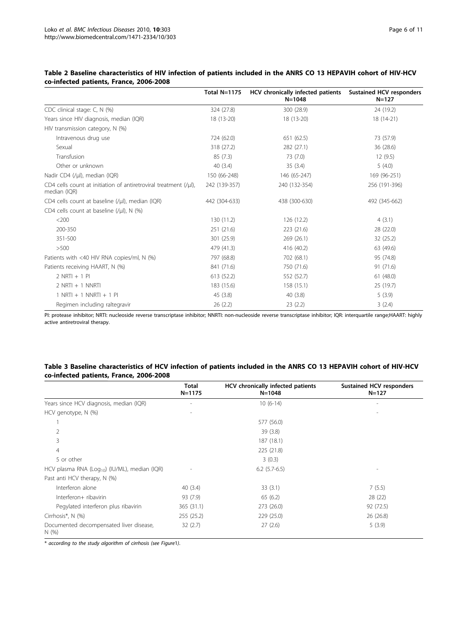|                                                                                      | Total $N=1175$ | HCV chronically infected patients<br>$N = 1048$ | <b>Sustained HCV responders</b><br>$N = 127$ |
|--------------------------------------------------------------------------------------|----------------|-------------------------------------------------|----------------------------------------------|
| CDC clinical stage: C, N (%)                                                         | 324 (27.8)     | 300 (28.9)                                      | 24 (19.2)                                    |
| Years since HIV diagnosis, median (IQR)                                              | 18 (13-20)     | 18 (13-20)                                      | 18 (14-21)                                   |
| HIV transmission category, N (%)                                                     |                |                                                 |                                              |
| Intravenous drug use                                                                 | 724 (62.0)     | 651 (62.5)                                      | 73 (57.9)                                    |
| Sexual                                                                               | 318 (27.2)     | 282 (27.1)                                      | 36 (28.6)                                    |
| Transfusion                                                                          | 85(7.3)        | 73 (7.0)                                        | 12 (9.5)                                     |
| Other or unknown                                                                     | 40(3.4)        | 35(3.4)                                         | 5(4.0)                                       |
| Nadir CD4 (/µl), median (IQR)                                                        | 150 (66-248)   | 146 (65-247)                                    | 169 (96-251)                                 |
| CD4 cells count at initiation of antiretroviral treatment $(y\mu)$ ,<br>median (IQR) | 242 (139-357)  | 240 (132-354)                                   | 256 (191-396)                                |
| CD4 cells count at baseline (/µl), median (IQR)                                      | 442 (304-633)  | 438 (300-630)                                   | 492 (345-662)                                |
| CD4 cells count at baseline $(V\mu I)$ , N (%)                                       |                |                                                 |                                              |
| $<$ 200                                                                              | 130 (11.2)     | 126 (12.2)                                      | 4(3.1)                                       |
| 200-350                                                                              | 251 (21.6)     | 223 (21.6)                                      | 28 (22.0)                                    |
| 351-500                                                                              | 301 (25.9)     | 269 (26.1)                                      | 32 (25.2)                                    |
| >500                                                                                 | 479 (41.3)     | 416 (40.2)                                      | 63 (49.6)                                    |
| Patients with <40 HIV RNA copies/ml, N (%)                                           | 797 (68.8)     | 702 (68.1)                                      | 95 (74.8)                                    |
| Patients receiving HAART, N (%)                                                      | 841 (71.6)     | 750 (71.6)                                      | 91 (71.6)                                    |
| $2$ NRTI + 1 PI                                                                      | 613 (52.2)     | 552 (52.7)                                      | 61(48.0)                                     |
| $2$ NRTI + 1 NNRTI                                                                   | 183 (15.6)     | 158 (15.1)                                      | 25 (19.7)                                    |
| $1$ NRTI + 1 NNRTI + 1 PI                                                            | 45(3.8)        | 40(3.8)                                         | 5(3.9)                                       |
| Regimen including raltegravir                                                        | 26(2.2)        | 23(2.2)                                         | 3(2.4)                                       |

## <span id="page-5-0"></span>Table 2 Baseline characteristics of HIV infection of patients included in the ANRS CO 13 HEPAVIH cohort of HIV-HCV co-infected patients, France, 2006-2008

PI: protease inhibitor; NRTI: nucleoside reverse transcriptase inhibitor; NNRTI: non-nucleoside reverse transcriptase inhibitor; IQR: interquartile range;HAART: highly active antiretroviral therapy.

## Table 3 Baseline characteristics of HCV infection of patients included in the ANRS CO 13 HEPAVIH cohort of HIV-HCV co-infected patients, France, 2006-2008

|                                                           | Total<br>$N = 1175$ | HCV chronically infected patients<br>N=1048 | <b>Sustained HCV responders</b><br>$N = 127$ |
|-----------------------------------------------------------|---------------------|---------------------------------------------|----------------------------------------------|
| Years since HCV diagnosis, median (IQR)                   |                     | $10(6-14)$                                  |                                              |
| HCV genotype, N (%)                                       |                     |                                             |                                              |
|                                                           |                     | 577 (56.0)                                  |                                              |
| 2                                                         |                     | 39(3.8)                                     |                                              |
| 3                                                         |                     | 187 (18.1)                                  |                                              |
| $\overline{4}$                                            |                     | 225 (21.8)                                  |                                              |
| 5 or other                                                |                     | 3(0.3)                                      |                                              |
| HCV plasma RNA (Log <sub>10</sub> ) (IU/ML), median (IQR) |                     | $6.2$ (5.7-6.5)                             |                                              |
| Past anti HCV therapy, N (%)                              |                     |                                             |                                              |
| Interferon alone                                          | 40(3.4)             | 33(3.1)                                     | 7(5.5)                                       |
| Interferon+ ribavirin                                     | 93 (7.9)            | 65(6.2)                                     | 28 (22)                                      |
| Pegylated interferon plus ribavirin                       | 365(31.1)           | 273 (26.0)                                  | 92 (72.5)                                    |
| Cirrhosis*, N (%)                                         | 255(25.2)           | 229 (25.0)                                  | 26(26.8)                                     |
| Documented decompensated liver disease,<br>N(%)           | 32(2.7)             | 27(2.6)                                     | 5(3.9)                                       |

\* according to the study algorithm of cirrhosis (see Figure[1](#page-3-0)).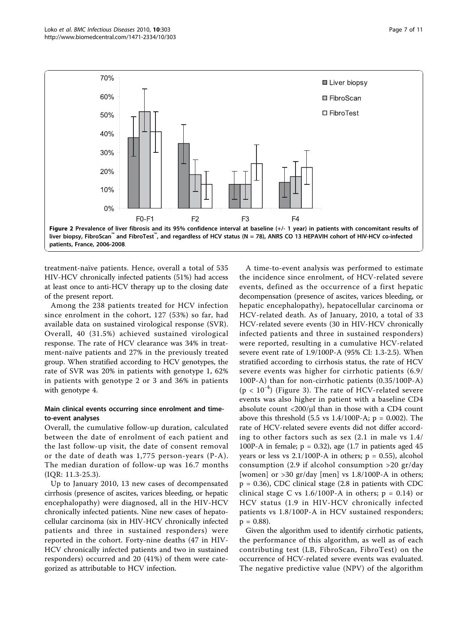<span id="page-6-0"></span>

treatment-naïve patients. Hence, overall a total of 535 HIV-HCV chronically infected patients (51%) had access at least once to anti-HCV therapy up to the closing date of the present report.

Among the 238 patients treated for HCV infection since enrolment in the cohort, 127 (53%) so far, had available data on sustained virological response (SVR). Overall, 40 (31.5%) achieved sustained virological response. The rate of HCV clearance was 34% in treatment-naïve patients and 27% in the previously treated group. When stratified according to HCV genotypes, the rate of SVR was 20% in patients with genotype 1, 62% in patients with genotype 2 or 3 and 36% in patients with genotype 4.

## Main clinical events occurring since enrolment and timeto-event analyses

Overall, the cumulative follow-up duration, calculated between the date of enrolment of each patient and the last follow-up visit, the date of consent removal or the date of death was 1,775 person-years (P-A). The median duration of follow-up was 16.7 months (IQR: 11.3-25.3).

Up to January 2010, 13 new cases of decompensated cirrhosis (presence of ascites, varices bleeding, or hepatic encephalopathy) were diagnosed, all in the HIV-HCV chronically infected patients. Nine new cases of hepatocellular carcinoma (six in HIV-HCV chronically infected patients and three in sustained responders) were reported in the cohort. Forty-nine deaths (47 in HIV-HCV chronically infected patients and two in sustained responders) occurred and 20 (41%) of them were categorized as attributable to HCV infection.

A time-to-event analysis was performed to estimate the incidence since enrolment, of HCV-related severe events, defined as the occurrence of a first hepatic decompensation (presence of ascites, varices bleeding, or hepatic encephalopathy), hepatocellular carcinoma or HCV-related death. As of January, 2010, a total of 33 HCV-related severe events (30 in HIV-HCV chronically infected patients and three in sustained responders) were reported, resulting in a cumulative HCV-related severe event rate of 1.9/100P-A (95% CI: 1.3-2.5). When stratified according to cirrhosis status, the rate of HCV severe events was higher for cirrhotic patients (6.9/ 100P-A) than for non-cirrhotic patients (0.35/100P-A)  $(p < 10^{-4})$  (Figure [3](#page-7-0)). The rate of HCV-related severe events was also higher in patient with a baseline CD4 absolute count  $\langle 200/\mu l \rangle$  than in those with a CD4 count above this threshold  $(5.5 \text{ vs } 1.4/100P-A; p = 0.002)$ . The rate of HCV-related severe events did not differ according to other factors such as sex (2.1 in male vs 1.4/ 100P-A in female;  $p = 0.32$ ), age (1.7 in patients aged 45 years or less vs  $2.1/100P-A$  in others;  $p = 0.55$ ), alcohol consumption (2.9 if alcohol consumption >20 gr/day [women] or  $>$ 30 gr/day [men] vs 1.8/100P-A in others;  $p = 0.36$ ), CDC clinical stage (2.8 in patients with CDC clinical stage C vs  $1.6/100P-A$  in others;  $p = 0.14$ ) or HCV status (1.9 in HIV-HCV chronically infected patients vs 1.8/100P-A in HCV sustained responders;  $p = 0.88$ ).

Given the algorithm used to identify cirrhotic patients, the performance of this algorithm, as well as of each contributing test (LB, FibroScan, FibroTest) on the occurrence of HCV-related severe events was evaluated. The negative predictive value (NPV) of the algorithm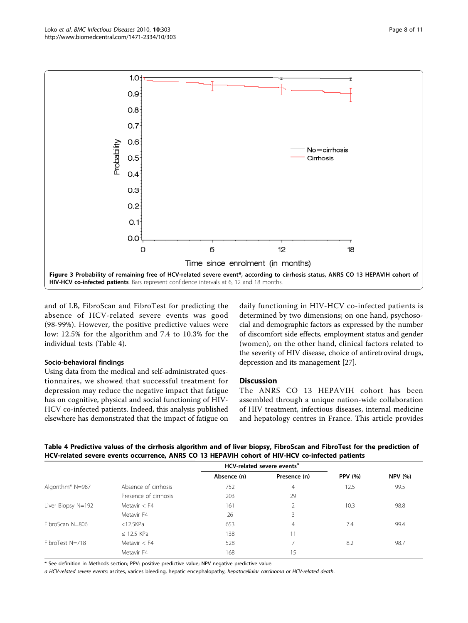<span id="page-7-0"></span>

and of LB, FibroScan and FibroTest for predicting the absence of HCV-related severe events was good (98-99%). However, the positive predictive values were low: 12.5% for the algorithm and 7.4 to 10.3% for the individual tests (Table 4).

## Socio-behavioral findings

Using data from the medical and self-administrated questionnaires, we showed that successful treatment for depression may reduce the negative impact that fatigue has on cognitive, physical and social functioning of HIV-HCV co-infected patients. Indeed, this analysis published elsewhere has demonstrated that the impact of fatigue on daily functioning in HIV-HCV co-infected patients is determined by two dimensions; on one hand, psychosocial and demographic factors as expressed by the number of discomfort side effects, employment status and gender (women), on the other hand, clinical factors related to the severity of HIV disease, choice of antiretroviral drugs, depression and its management [[27\]](#page-10-0).

#### **Discussion**

The ANRS CO 13 HEPAVIH cohort has been assembled through a unique nation-wide collaboration of HIV treatment, infectious diseases, internal medicine and hepatology centres in France. This article provides

| HCV-related cevere events <sup>a</sup>                                                                                  |
|-------------------------------------------------------------------------------------------------------------------------|
| HCV-related severe events occurrence, ANRS CO 13 HEPAVIH cohort of HIV-HCV co-infected patients                         |
| Table 4 Predictive values of the cirrhosis algorithm and of liver biopsy, FibroScan and FibroTest for the prediction of |

|                                                    |                       | HCV-related severe events <sup>a</sup> |              |                |                |
|----------------------------------------------------|-----------------------|----------------------------------------|--------------|----------------|----------------|
|                                                    |                       | Absence (n)                            | Presence (n) | <b>PPV</b> (%) | <b>NPV</b> (%) |
| Algorithm* N=987                                   | Absence of cirrhosis  | 752                                    | 4            | 12.5           | 99.5           |
|                                                    | Presence of cirrhosis | 203                                    | 29           |                |                |
| Liver Biopsy N=192<br>Metavir $<$ F4<br>Metavir F4 |                       | 161                                    |              | 10.3           | 98.8           |
|                                                    |                       | 26                                     | 3            |                |                |
| FibroScan N=806                                    | $<$ 12.5KPa           | 653                                    | 4            | 7.4            | 99.4           |
|                                                    | $\leq$ 12.5 KPa       | 138                                    |              |                |                |
| FibroTest N=718                                    | Metavir $<$ F4        | 528                                    |              | 8.2            | 98.7           |
|                                                    | Metavir F4            | 168                                    | 15           |                |                |

\* See definition in Methods section; PPV: positive predictive value; NPV negative predictive value.

a HCV-related severe events: ascites, varices bleeding, hepatic encephalopathy, hepatocellular carcinoma or HCV-related death.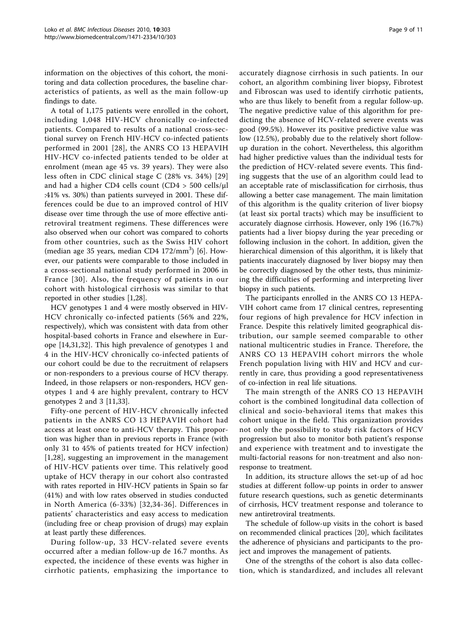information on the objectives of this cohort, the monitoring and data collection procedures, the baseline characteristics of patients, as well as the main follow-up findings to date.

A total of 1,175 patients were enrolled in the cohort, including 1,048 HIV-HCV chronically co-infected patients. Compared to results of a national cross-sectional survey on French HIV-HCV co-infected patients performed in 2001 [[28](#page-10-0)], the ANRS CO 13 HEPAVIH HIV-HCV co-infected patients tended to be older at enrolment (mean age 45 vs. 39 years). They were also less often in CDC clinical stage C (28% vs. 34%) [[29](#page-10-0)] and had a higher CD4 cells count (CD4 > 500 cells/μl :41% vs. 30%) than patients surveyed in 2001. These differences could be due to an improved control of HIV disease over time through the use of more effective antiretroviral treatment regimens. These differences were also observed when our cohort was compared to cohorts from other countries, such as the Swiss HIV cohort (median age 35 years, median CD4  $172/\text{mm}^3$ ) [[6\]](#page-10-0). However, our patients were comparable to those included in a cross-sectional national study performed in 2006 in France [[30](#page-10-0)]. Also, the frequency of patients in our cohort with histological cirrhosis was similar to that reported in other studies [\[1,28\]](#page-10-0).

HCV genotypes 1 and 4 were mostly observed in HIV-HCV chronically co-infected patients (56% and 22%, respectively), which was consistent with data from other hospital-based cohorts in France and elsewhere in Europe [\[14,31,32](#page-10-0)]. This high prevalence of genotypes 1 and 4 in the HIV-HCV chronically co-infected patients of our cohort could be due to the recruitment of relapsers or non-responders to a previous course of HCV therapy. Indeed, in those relapsers or non-responders, HCV genotypes 1 and 4 are highly prevalent, contrary to HCV genotypes 2 and 3 [[11,33\]](#page-10-0).

Fifty-one percent of HIV-HCV chronically infected patients in the ANRS CO 13 HEPAVIH cohort had access at least once to anti-HCV therapy. This proportion was higher than in previous reports in France (with only 31 to 45% of patients treated for HCV infection) [[1,28\]](#page-10-0), suggesting an improvement in the management of HIV-HCV patients over time. This relatively good uptake of HCV therapy in our cohort also contrasted with rates reported in HIV-HCV patients in Spain so far (41%) and with low rates observed in studies conducted in North America (6-33%) [[32,34-36](#page-10-0)]. Differences in patients' characteristics and easy access to medication (including free or cheap provision of drugs) may explain at least partly these differences.

During follow-up, 33 HCV-related severe events occurred after a median follow-up de 16.7 months. As expected, the incidence of these events was higher in cirrhotic patients, emphasizing the importance to accurately diagnose cirrhosis in such patients. In our cohort, an algorithm combining liver biopsy, Fibrotest and Fibroscan was used to identify cirrhotic patients, who are thus likely to benefit from a regular follow-up. The negative predictive value of this algorithm for predicting the absence of HCV-related severe events was good (99.5%). However its positive predictive value was low (12.5%), probably due to the relatively short followup duration in the cohort. Nevertheless, this algorithm had higher predictive values than the individual tests for the prediction of HCV-related severe events. This finding suggests that the use of an algorithm could lead to an acceptable rate of misclassification for cirrhosis, thus allowing a better case management. The main limitation of this algorithm is the quality criterion of liver biopsy (at least six portal tracts) which may be insufficient to accurately diagnose cirrhosis. However, only 196 (16.7%) patients had a liver biopsy during the year preceding or following inclusion in the cohort. In addition, given the hierarchical dimension of this algorithm, it is likely that patients inaccurately diagnosed by liver biopsy may then be correctly diagnosed by the other tests, thus minimizing the difficulties of performing and interpreting liver biopsy in such patients.

The participants enrolled in the ANRS CO 13 HEPA-VIH cohort came from 17 clinical centres, representing four regions of high prevalence for HCV infection in France. Despite this relatively limited geographical distribution, our sample seemed comparable to other national multicentric studies in France. Therefore, the ANRS CO 13 HEPAVIH cohort mirrors the whole French population living with HIV and HCV and currently in care, thus providing a good representativeness of co-infection in real life situations.

The main strength of the ANRS CO 13 HEPAVIH cohort is the combined longitudinal data collection of clinical and socio-behavioral items that makes this cohort unique in the field. This organization provides not only the possibility to study risk factors of HCV progression but also to monitor both patient's response and experience with treatment and to investigate the multi-factorial reasons for non-treatment and also nonresponse to treatment.

In addition, its structure allows the set-up of ad hoc studies at different follow-up points in order to answer future research questions, such as genetic determinants of cirrhosis, HCV treatment response and tolerance to new antiretroviral treatments.

The schedule of follow-up visits in the cohort is based on recommended clinical practices [\[20](#page-10-0)], which facilitates the adherence of physicians and participants to the project and improves the management of patients.

One of the strengths of the cohort is also data collection, which is standardized, and includes all relevant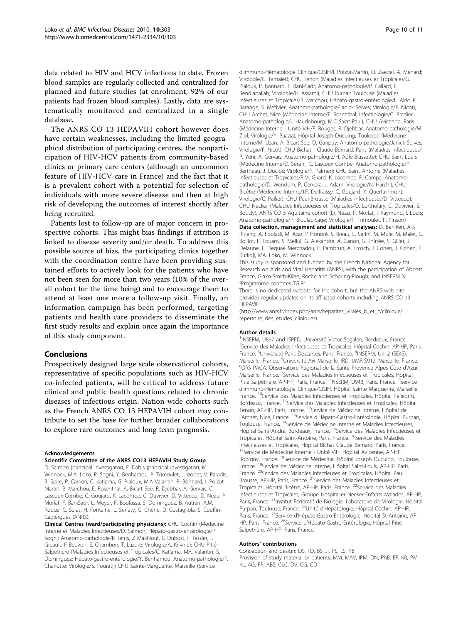data related to HIV and HCV infections to date. Frozen blood samples are regularly collected and centralized for planned and future studies (at enrolment, 92% of our patients had frozen blood samples). Lastly, data are systematically monitored and centralized in a single database.

The ANRS CO 13 HEPAVIH cohort however does have certain weaknesses, including the limited geographical distribution of participating centres, the nonparticipation of HIV-HCV patients from community-based clinics or primary care centers (although an uncommon feature of HIV-HCV care in France) and the fact that it is a prevalent cohort with a potential for selection of individuals with more severe disease and then at high risk of developing the outcomes of interest shortly after being recruited.

Patients lost to follow-up are of major concern in prospective cohorts. This might bias findings if attrition is linked to disease severity and/or death. To address this possible source of bias, the participating clinics together with the coordination centre have been providing sustained efforts to actively look for the patients who have not been seen for more than two years (10% of the overall cohort for the time being) and to encourage them to attend at least one more a follow-up visit. Finally, an information campaign has been performed, targeting patients and health care providers to disseminate the first study results and explain once again the importance of this study component.

#### Conclusions

Prospectively designed large scale observational cohorts, representative of specific populations such as HIV-HCV co-infected patients, will be critical to address future clinical and public health questions related to chronic diseases of infectious origin. Nation-wide cohorts such as the French ANRS CO 13 HEPAVIH cohort may contribute to set the base for further broader collaborations to explore rare outcomes and long term prognosis.

#### **Acknowledgements**

#### Scientific Committee of the ANRS CO13 HEPAVIH Study Group

D. Salmon (principal investigator), F. Dabis (principal investigator), M. Winnock, M.A. Loko, P. Sogni, Y. Benhamou, P. Trimoulet, J. Izopet, V. Paradis, B. Spire, P. Carrieri, C. Katlama, G. Pialoux, M.A Valantin, P. Bonnard, I. Poizot-Martin, B. Marchou, E. Rosenthal, A. Bicart See, R. Djebbar, A. Gervais, C. Lascoux-Combe, C. Goujard, K. Lacombe, C. Duvivier, D. Vittecoq, D. Neau, P. Morlat, F. BaniSadr, L. Meyer, F. Boufassa, S. Dominguez, B. Autran, A.M. Roque, C. Solas, H. Fontaine, L. Serfaty, G. Chêne, D. Costagliola, S. Couffin-Cadiergues (ANRS).

Clinical Centres (ward/participating physicians): CHU Cochin (Médecine Interne et Maladies Infectieuses/D. Salmon; Hépato-gastro-entérologie/P. Sogni; Anatomo-pathologie/B Terris, Z Makhlouf, G Dubost, F Tessier, L Gibault, F Beuvon, E. Chambon, T. Lazure; Virologie/A. Krivine); CHU Pitié-Salpétrière (Maladies Infectieuses et Tropicales/C. Katlama, MA. Valantin, S. Dominguez; Hépato-gastro-entérologie/Y. Benhamou; Anatomo-pathologie/F. Charlotte; Virologie/S. Fourati); CHU Sainte-Marguerite, Marseille (Service

d'Immuno-Hématologie Clinique/CISIH/I. Poizot-Martin, O. Zaegel, A. Ménard; Virologie/C. Tamalet); CHU Tenon (Maladies Infectieuses et Tropicales/G. Pialoux, P. Bonnard, F. Bani-Sadr; Anatomo-pathologie/P. Callard, F. Bendjaballah; Virologie/H. Assami); CHU Purpan Toulouse (Maladies Infectieuses et Tropicales/B. Marchou; Hépato-gastro-entérologie/L. Alric, K. Barange, S. Metivier; Anatomo-pathologie/Janick Selves; Virologie/F. Nicot); CHU Archet, Nice (Médecine Interne/E. Rosenthal; Infectiologie/C. Pradier; Anatomo-pathologie/J. Haudebourg, M.C Saint-Paul); CHU Avicenne, Paris (Médecine Interne - Unité VIH/F. Rouges, R. Djebbar; Anatomo-pathologie/M. Ziol; Virologie/Y. Baazia); Hôpital Joseph-Ducuing, Toulouse (Médecine Interne/M. Uzan, A. Bicart-See, D. Garipuy; Anatomo-pathologie/Janick Selves; Virologie/F. Nicot); CHU Bichat - Claude-Bernard, Paris (Maladies Infectieuses/ P. Yéni, A. Gervais; Anatomo-pathologie/H. Adle-Biassette); CHU Saint-Louis (Médecine Interne/D. Séréni, C. Lascoux Combe; Anatomo-pathologie/P. Bertheau, J. Duclos; Virologie/P. Palmer); CHU Saint Antoine (Maladies Infectieuses et Tropicales/P.M. Girard, K. Lacombe, P. Campa; Anatomopathologie/D. Wendum, P. Cervera, J. Adam; Virologie/N. Harchi); CHU Bicêtre (Médecine Interne/J.F. Delfraissy, C. Goujard, Y. Quertainmont; Virologie/C. Pallier); CHU Paul-Brousse (Maladies Infectieuses/D. Vittecoq); CHU Necker (Maladies Infectieuses et Tropicales/O. Lortholary, C. Duvivier, S. Boucly), ANRS CO 3 Aquitaine cohort (D. Neau, P. Morlat, I. Raymond, I. Louis; Anatomo-pathologie/P. Bioulac-Sage; Virologie/P. Trimoulet, P. Pinson) Data collection, management and statistical analyses: D. Beniken, A-S Ritleng, A. Fooladi, M. Azar, P Honoré, S. Breau, L. Serini, M. Mole, M. Malet, C. Bolliot, F. Touam, S. Mellul, G. Alexandre, A. Ganon, S. Thirrée, S. Gillet, J.

Delaune, L. Dequae Merchadou, E. Pambrun, A. Frosch, J. Cohen, J. Cohen, P. Kurkdji, MA. Loko, M. Winnock

This study is sponsored and funded by the French National Agency for Research on Aids and Viral Hepatitis (ANRS), with the participation of Abbott France, Glaxo-Smith-Kline, Roche and Schering-Plough, and INSERM 's "Programme cohortes TGIR".

There is no dedicated website for the cohort, but the ANRS web site provides regular updates on its affiliated cohorts including ANRS CO 13 HEPAVIH.

([http://www.anrs.fr/index.php/anrs/hepatites\\_virales\\_b\\_et\\_c/clinique/](http://www.anrs.fr/index.php/anrs/hepatites_virales_b_et_c/clinique/repertoire_des_etudes_cliniques) [repertoire\\_des\\_etudes\\_cliniques\)](http://www.anrs.fr/index.php/anrs/hepatites_virales_b_et_c/clinique/repertoire_des_etudes_cliniques)

#### Author details

<sup>1</sup>INSERM, U897 and ISPED, Université Victor Segalen, Bordeaux, France. <sup>2</sup>Service des Maladies Infectieuses et Tropicales, Hôpital Cochin, AP-HP, Paris, France. <sup>3</sup>Université Paris Descartes, Paris, France. <sup>4</sup>INSERM, U912 (SE4S), Marseille, France. <sup>5</sup>Université Aix Marseille, IRD, UMR-S912, Marseille, France.<br><sup>6</sup>OPS RACA, Obseniatoire Régional de la Santé Provence Alpes Cête d'Azur ORS PACA, Observatoire Régional de la Santé Provence Alpes Côte d'Azur, Marseille, France. <sup>7</sup>Service des Maladies Infectieuses et Tropicales, Hôpital Pitié Salpétrière, AP-HP, Paris, France. <sup>8</sup>INSERM, U943, Paris, France. <sup>9</sup>Service d'Immuno-Hématologie Clinique/CISIH, Hôpital Sainte Marguerite, Marseille, France. <sup>10</sup>Service des Maladies Infectieuses et Tropicales, Hôpital Pellegrin, Bordeaux, France. <sup>11</sup>Service des Maladies Infectieuses et Tropicales, Hôpital Tenon, AP-HP, Paris, France. <sup>12</sup>Service de Médecine Interne, Hôpital de l'Archet, Nice, France. <sup>13</sup>Service d'Hépato-Gastro-Entérologie, Hôpital Purpan, Toulouse, France. <sup>14</sup>Service de Médecine Interne et Maladies Infectieuses, Hôpital Saint-André, Bordeaux, France. 15Service des Maladies Infectieuses et Tropicales, Hôpital Saint-Antoine, Paris, France. <sup>16</sup>Service des Maladies Infectieuses et Tropicales, Hôpital Bichat Claude Bernard, Paris, France. <sup>17</sup>Service de Médecine Interne - Unité VIH, Hôpital Avicenne, AP-HP, Bobigny, France. <sup>18</sup>Service de Médecine, Hôpital Joseph Ducuing, Toulouse, France. 19Service de Médecine Interne, Hôpital Saint-Louis, AP-HP, Paris, France. 20Service des Maladies Infectieuses et Tropicales, Hôpital Paul Brousse, AP-HP, Paris, France. 21Service des Maladies Infectieuses et Tropicales, Hôpital Bicêtre, AP-HP, Paris, France. <sup>22</sup>Service des Maladies Infectieuses et Tropicales, Groupe Hospitalier Necker-Enfants Malades, AP-HP, Paris, France. <sup>23</sup>Institut Fédératif de Biologie, Laboratoire de Virologie, Hôpital Purpan, Toulouse, France. <sup>24</sup>Unité d'Hépatologie, Hôpital Cochin, AP-HP, Paris, France. <sup>25</sup>Service d'Hépato-Gastro-Entérologie, Hôpital St-Antoine, AP-HP, Paris, France. <sup>26</sup>Service d'Hépato-Gastro-Entérologie, Hôpital Pitié Salpétrière, AP-HP, Paris, France.

#### Authors' contributions

Conception and design: DS, FD, BS, JI, PS, LS, YB Provision of study material or patients: MM, MAV, IPM, DN, PhB, ER, KB, PM, KL, AG, FR, ABS, CLC, DV, CG, CD